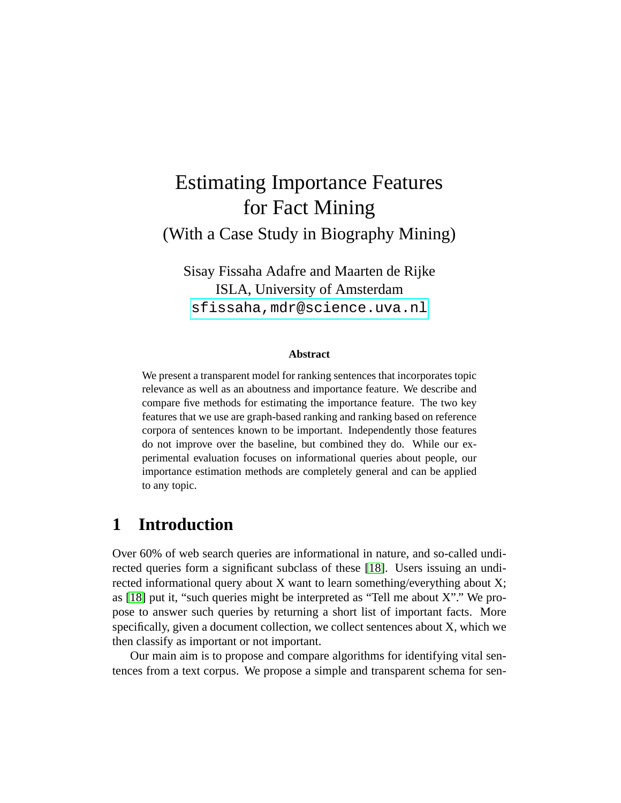# Estimating Importance Features for Fact Mining (With a Case Study in Biography Mining)

Sisay Fissaha Adafre and Maarten de Rijke ISLA, University of Amsterdam <sfissaha,mdr@science.uva.nl>

#### **Abstract**

We present a transparent model for ranking sentences that incorporates topic relevance as well as an aboutness and importance feature. We describe and compare five methods for estimating the importance feature. The two key features that we use are graph-based ranking and ranking based on reference corpora of sentences known to be important. Independently those features do not improve over the baseline, but combined they do. While our experimental evaluation focuses on informational queries about people, our importance estimation methods are completely general and can be applied to any topic.

## **1 Introduction**

Over 60% of web search queries are informational in nature, and so-called undirected queries form a significant subclass of these [\[18\]](#page-19-0). Users issuing an undirected informational query about X want to learn something/everything about X; as [\[18\]](#page-19-0) put it, "such queries might be interpreted as "Tell me about X"." We propose to answer such queries by returning a short list of important facts. More specifically, given a document collection, we collect sentences about X, which we then classify as important or not important.

Our main aim is to propose and compare algorithms for identifying vital sentences from a text corpus. We propose a simple and transparent schema for sen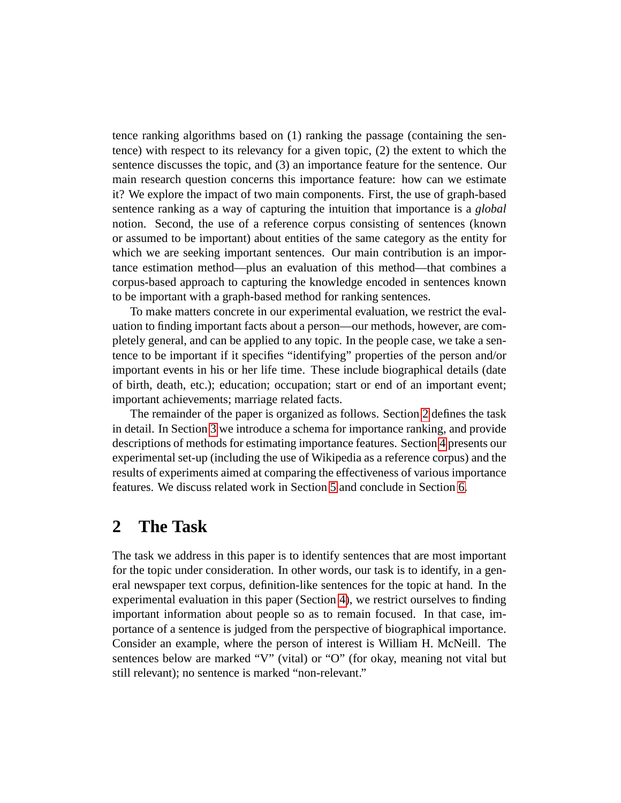tence ranking algorithms based on (1) ranking the passage (containing the sentence) with respect to its relevancy for a given topic, (2) the extent to which the sentence discusses the topic, and (3) an importance feature for the sentence. Our main research question concerns this importance feature: how can we estimate it? We explore the impact of two main components. First, the use of graph-based sentence ranking as a way of capturing the intuition that importance is a *global* notion. Second, the use of a reference corpus consisting of sentences (known or assumed to be important) about entities of the same category as the entity for which we are seeking important sentences. Our main contribution is an importance estimation method—plus an evaluation of this method—that combines a corpus-based approach to capturing the knowledge encoded in sentences known to be important with a graph-based method for ranking sentences.

To make matters concrete in our experimental evaluation, we restrict the evaluation to finding important facts about a person—our methods, however, are completely general, and can be applied to any topic. In the people case, we take a sentence to be important if it specifies "identifying" properties of the person and/or important events in his or her life time. These include biographical details (date of birth, death, etc.); education; occupation; start or end of an important event; important achievements; marriage related facts.

The remainder of the paper is organized as follows. Section [2](#page-1-0) defines the task in detail. In Section [3](#page-3-0) we introduce a schema for importance ranking, and provide descriptions of methods for estimating importance features. Section [4](#page-8-0) presents our experimental set-up (including the use of Wikipedia as a reference corpus) and the results of experiments aimed at comparing the effectiveness of various importance features. We discuss related work in Section [5](#page-15-0) and conclude in Section [6.](#page-16-0)

### <span id="page-1-0"></span>**2 The Task**

The task we address in this paper is to identify sentences that are most important for the topic under consideration. In other words, our task is to identify, in a general newspaper text corpus, definition-like sentences for the topic at hand. In the experimental evaluation in this paper (Section [4\)](#page-8-0), we restrict ourselves to finding important information about people so as to remain focused. In that case, importance of a sentence is judged from the perspective of biographical importance. Consider an example, where the person of interest is William H. McNeill. The sentences below are marked "V" (vital) or "O" (for okay, meaning not vital but still relevant); no sentence is marked "non-relevant."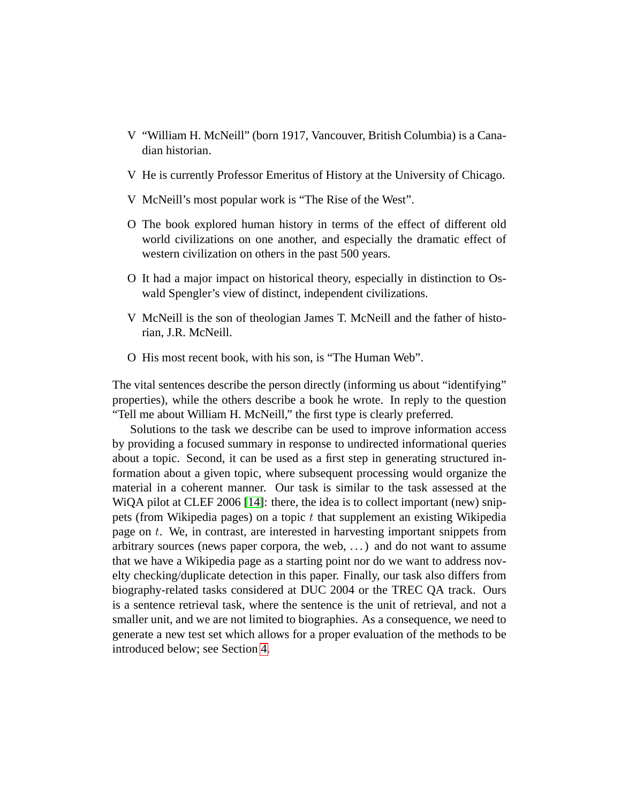- V "William H. McNeill" (born 1917, Vancouver, British Columbia) is a Canadian historian.
- V He is currently Professor Emeritus of History at the University of Chicago.
- V McNeill's most popular work is "The Rise of the West".
- O The book explored human history in terms of the effect of different old world civilizations on one another, and especially the dramatic effect of western civilization on others in the past 500 years.
- O It had a major impact on historical theory, especially in distinction to Oswald Spengler's view of distinct, independent civilizations.
- V McNeill is the son of theologian James T. McNeill and the father of historian, J.R. McNeill.
- O His most recent book, with his son, is "The Human Web".

The vital sentences describe the person directly (informing us about "identifying" properties), while the others describe a book he wrote. In reply to the question "Tell me about William H. McNeill," the first type is clearly preferred.

Solutions to the task we describe can be used to improve information access by providing a focused summary in response to undirected informational queries about a topic. Second, it can be used as a first step in generating structured information about a given topic, where subsequent processing would organize the material in a coherent manner. Our task is similar to the task assessed at the WiQA pilot at CLEF 2006 [\[14\]](#page-18-0): there, the idea is to collect important (new) snippets (from Wikipedia pages) on a topic  $t$  that supplement an existing Wikipedia page on t. We, in contrast, are interested in harvesting important snippets from arbitrary sources (news paper corpora, the web, . . . ) and do not want to assume that we have a Wikipedia page as a starting point nor do we want to address novelty checking/duplicate detection in this paper. Finally, our task also differs from biography-related tasks considered at DUC 2004 or the TREC QA track. Ours is a sentence retrieval task, where the sentence is the unit of retrieval, and not a smaller unit, and we are not limited to biographies. As a consequence, we need to generate a new test set which allows for a proper evaluation of the methods to be introduced below; see Section [4.](#page-8-0)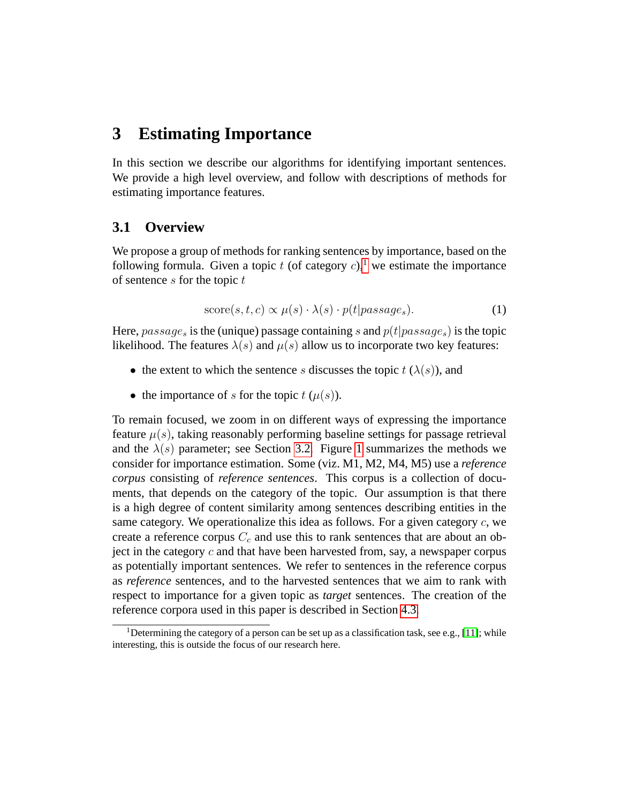## <span id="page-3-0"></span>**3 Estimating Importance**

In this section we describe our algorithms for identifying important sentences. We provide a high level overview, and follow with descriptions of methods for estimating importance features.

### **3.1 Overview**

We propose a group of methods for ranking sentences by importance, based on the following formula. Given a topic t (of category c),<sup>[1](#page-3-1)</sup> we estimate the importance of sentence  $s$  for the topic  $t$ 

<span id="page-3-2"></span>
$$
score(s, t, c) \propto \mu(s) \cdot \lambda(s) \cdot p(t| \text{passage}_s). \tag{1}
$$

Here,  $passage_s$  is the (unique) passage containing s and  $p(t|passage_s)$  is the topic likelihood. The features  $\lambda(s)$  and  $\mu(s)$  allow us to incorporate two key features:

- the extent to which the sentence s discusses the topic  $t(\lambda(s))$ , and
- the importance of s for the topic  $t$  ( $\mu(s)$ ).

To remain focused, we zoom in on different ways of expressing the importance feature  $\mu(s)$ , taking reasonably performing baseline settings for passage retrieval and the  $\lambda(s)$  parameter; see Section [3.2.](#page-4-0) Figure [1](#page-4-1) summarizes the methods we consider for importance estimation. Some (viz. M1, M2, M4, M5) use a *reference corpus* consisting of *reference sentences*. This corpus is a collection of documents, that depends on the category of the topic. Our assumption is that there is a high degree of content similarity among sentences describing entities in the same category. We operationalize this idea as follows. For a given category  $c$ , we create a reference corpus  $C_c$  and use this to rank sentences that are about an object in the category  $c$  and that have been harvested from, say, a newspaper corpus as potentially important sentences. We refer to sentences in the reference corpus as *reference* sentences, and to the harvested sentences that we aim to rank with respect to importance for a given topic as *target* sentences. The creation of the reference corpora used in this paper is described in Section [4.3.](#page-11-0)

<span id="page-3-1"></span><sup>&</sup>lt;sup>1</sup>Determining the category of a person can be set up as a classification task, see e.g., [\[11\]](#page-18-1); while interesting, this is outside the focus of our research here.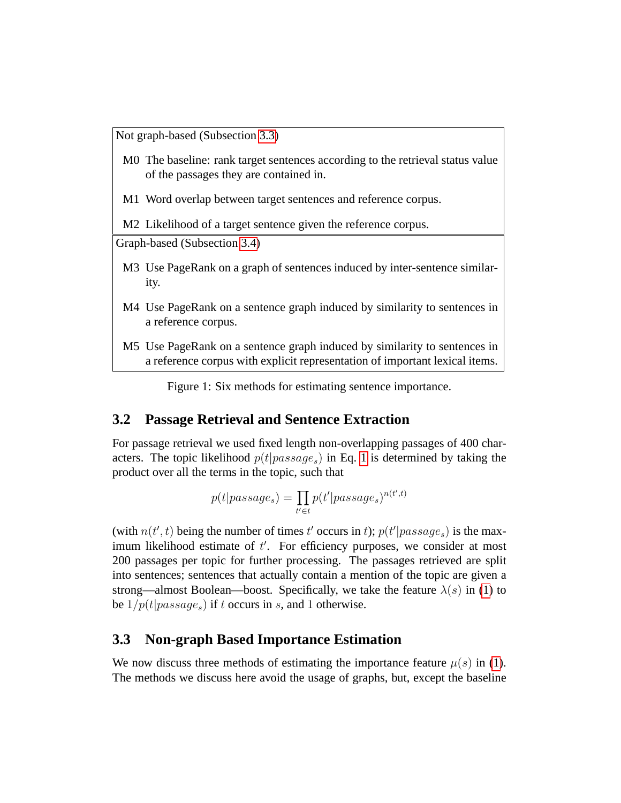Not graph-based (Subsection [3.3\)](#page-4-2)

- M0 The baseline: rank target sentences according to the retrieval status value of the passages they are contained in.
- M1 Word overlap between target sentences and reference corpus.

M<sub>2</sub> Likelihood of a target sentence given the reference corpus.

Graph-based (Subsection [3.4\)](#page-5-0)

- M3 Use PageRank on a graph of sentences induced by inter-sentence similarity.
- M4 Use PageRank on a sentence graph induced by similarity to sentences in a reference corpus.
- M5 Use PageRank on a sentence graph induced by similarity to sentences in a reference corpus with explicit representation of important lexical items.

<span id="page-4-1"></span>Figure 1: Six methods for estimating sentence importance.

#### <span id="page-4-0"></span>**3.2 Passage Retrieval and Sentence Extraction**

For passage retrieval we used fixed length non-overlapping passages of 400 characters. The topic likelihood  $p(t|passage_s)$  in Eq. [1](#page-3-2) is determined by taking the product over all the terms in the topic, such that

$$
p(t|passage_s) = \prod_{t' \in t} p(t'|passage_s)^{n(t',t)}
$$

(with  $n(t',t)$  being the number of times t' occurs in t);  $p(t'|passage_s)$  is the maximum likelihood estimate of  $t'$ . For efficiency purposes, we consider at most 200 passages per topic for further processing. The passages retrieved are split into sentences; sentences that actually contain a mention of the topic are given a strong—almost Boolean—boost. Specifically, we take the feature  $\lambda(s)$  in [\(1\)](#page-3-2) to be  $1/p(t|passage_s)$  if t occurs in s, and 1 otherwise.

#### <span id="page-4-2"></span>**3.3 Non-graph Based Importance Estimation**

We now discuss three methods of estimating the importance feature  $\mu(s)$  in [\(1\)](#page-3-2). The methods we discuss here avoid the usage of graphs, but, except the baseline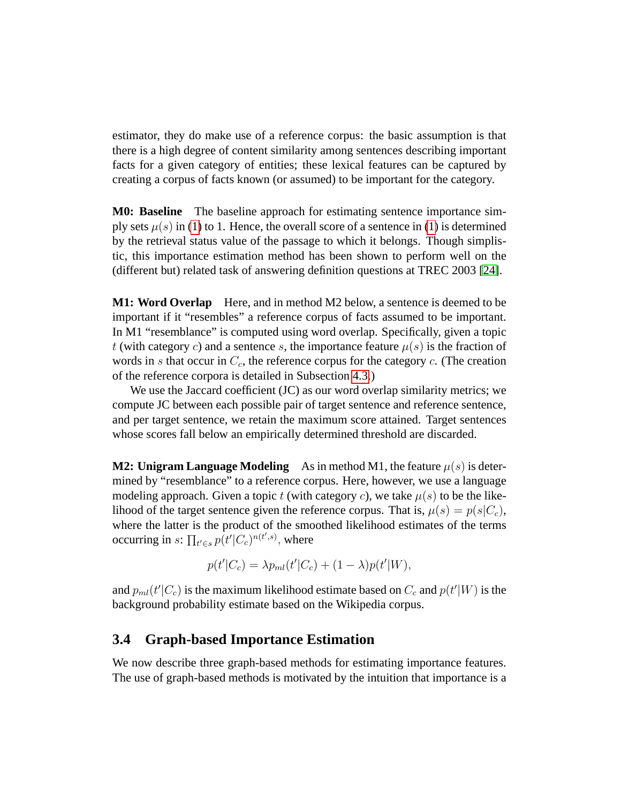estimator, they do make use of a reference corpus: the basic assumption is that there is a high degree of content similarity among sentences describing important facts for a given category of entities; these lexical features can be captured by creating a corpus of facts known (or assumed) to be important for the category.

**M0: Baseline** The baseline approach for estimating sentence importance simply sets  $\mu(s)$  in [\(1\)](#page-3-2) to 1. Hence, the overall score of a sentence in [\(1\)](#page-3-2) is determined by the retrieval status value of the passage to which it belongs. Though simplistic, this importance estimation method has been shown to perform well on the (different but) related task of answering definition questions at TREC 2003 [\[24\]](#page-19-1).

**M1: Word Overlap** Here, and in method M2 below, a sentence is deemed to be important if it "resembles" a reference corpus of facts assumed to be important. In M1 "resemblance" is computed using word overlap. Specifically, given a topic t (with category c) and a sentence s, the importance feature  $\mu(s)$  is the fraction of words in s that occur in  $C_c$ , the reference corpus for the category c. (The creation of the reference corpora is detailed in Subsection [4.3.](#page-11-0))

We use the Jaccard coefficient (JC) as our word overlap similarity metrics; we compute JC between each possible pair of target sentence and reference sentence, and per target sentence, we retain the maximum score attained. Target sentences whose scores fall below an empirically determined threshold are discarded.

**M2: Unigram Language Modeling** As in method M1, the feature  $\mu(s)$  is determined by "resemblance" to a reference corpus. Here, however, we use a language modeling approach. Given a topic t (with category c), we take  $\mu(s)$  to be the likelihood of the target sentence given the reference corpus. That is,  $\mu(s) = p(s|C_c)$ , where the latter is the product of the smoothed likelihood estimates of the terms occurring in  $s$ :  $\prod_{t' \in s} p(t'|C_c)^{n(t',s)}$ , where

$$
p(t'|C_c) = \lambda p_{ml}(t'|C_c) + (1-\lambda)p(t'|W),
$$

and  $p_{ml}(t'|C_c)$  is the maximum likelihood estimate based on  $C_c$  and  $p(t'|W)$  is the background probability estimate based on the Wikipedia corpus.

#### <span id="page-5-0"></span>**3.4 Graph-based Importance Estimation**

We now describe three graph-based methods for estimating importance features. The use of graph-based methods is motivated by the intuition that importance is a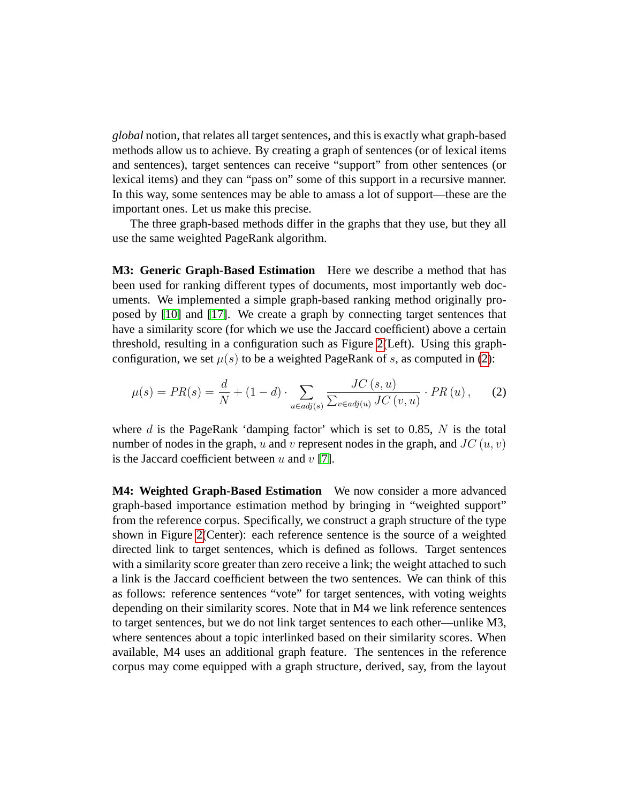*global* notion, that relates all target sentences, and this is exactly what graph-based methods allow us to achieve. By creating a graph of sentences (or of lexical items and sentences), target sentences can receive "support" from other sentences (or lexical items) and they can "pass on" some of this support in a recursive manner. In this way, some sentences may be able to amass a lot of support—these are the important ones. Let us make this precise.

The three graph-based methods differ in the graphs that they use, but they all use the same weighted PageRank algorithm.

**M3: Generic Graph-Based Estimation** Here we describe a method that has been used for ranking different types of documents, most importantly web documents. We implemented a simple graph-based ranking method originally proposed by [\[10\]](#page-18-2) and [\[17\]](#page-19-2). We create a graph by connecting target sentences that have a similarity score (for which we use the Jaccard coefficient) above a certain threshold, resulting in a configuration such as Figure [2\(](#page-7-0)Left). Using this graphconfiguration, we set  $\mu(s)$  to be a weighted PageRank of s, as computed in [\(2\)](#page-6-0):

<span id="page-6-0"></span>
$$
\mu(s) = PR(s) = \frac{d}{N} + (1 - d) \cdot \sum_{u \in adj(s)} \frac{JC(s, u)}{\sum_{v \in adj(u)} JC(v, u)} \cdot PR(u), \quad (2)
$$

where  $d$  is the PageRank 'damping factor' which is set to 0.85,  $N$  is the total number of nodes in the graph, u and v represent nodes in the graph, and  $JC(u, v)$ is the Jaccard coefficient between  $u$  and  $v$  [\[7\]](#page-18-3).

**M4: Weighted Graph-Based Estimation** We now consider a more advanced graph-based importance estimation method by bringing in "weighted support" from the reference corpus. Specifically, we construct a graph structure of the type shown in Figure [2\(](#page-7-0)Center): each reference sentence is the source of a weighted directed link to target sentences, which is defined as follows. Target sentences with a similarity score greater than zero receive a link; the weight attached to such a link is the Jaccard coefficient between the two sentences. We can think of this as follows: reference sentences "vote" for target sentences, with voting weights depending on their similarity scores. Note that in M4 we link reference sentences to target sentences, but we do not link target sentences to each other—unlike M3, where sentences about a topic interlinked based on their similarity scores. When available, M4 uses an additional graph feature. The sentences in the reference corpus may come equipped with a graph structure, derived, say, from the layout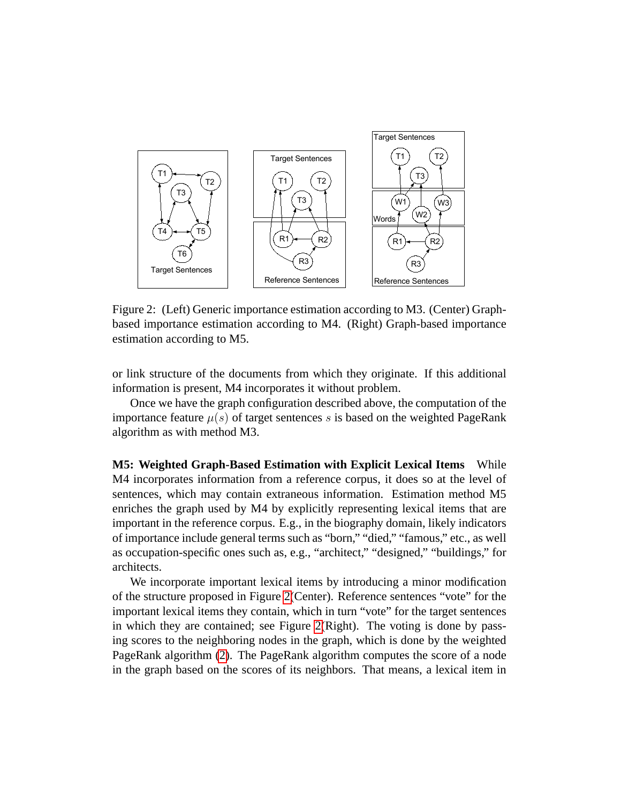

<span id="page-7-0"></span>Figure 2: (Left) Generic importance estimation according to M3. (Center) Graphbased importance estimation according to M4. (Right) Graph-based importance estimation according to M5.

or link structure of the documents from which they originate. If this additional information is present, M4 incorporates it without problem.

Once we have the graph configuration described above, the computation of the importance feature  $\mu(s)$  of target sentences s is based on the weighted PageRank algorithm as with method M3.

**M5: Weighted Graph-Based Estimation with Explicit Lexical Items** While M4 incorporates information from a reference corpus, it does so at the level of sentences, which may contain extraneous information. Estimation method M5 enriches the graph used by M4 by explicitly representing lexical items that are important in the reference corpus. E.g., in the biography domain, likely indicators of importance include general terms such as "born," "died," "famous," etc., as well as occupation-specific ones such as, e.g., "architect," "designed," "buildings," for architects.

We incorporate important lexical items by introducing a minor modification of the structure proposed in Figure [2\(](#page-7-0)Center). Reference sentences "vote" for the important lexical items they contain, which in turn "vote" for the target sentences in which they are contained; see Figure [2\(](#page-7-0)Right). The voting is done by passing scores to the neighboring nodes in the graph, which is done by the weighted PageRank algorithm [\(2\)](#page-6-0). The PageRank algorithm computes the score of a node in the graph based on the scores of its neighbors. That means, a lexical item in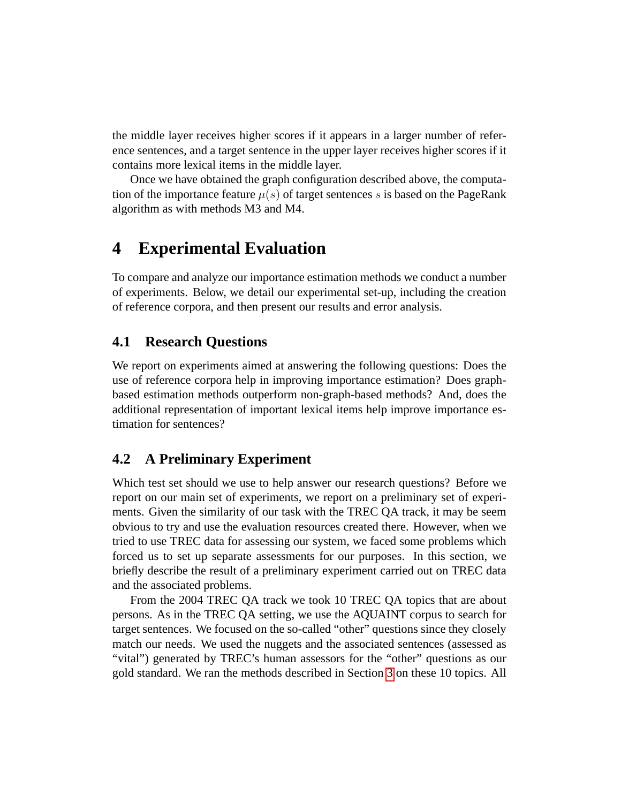the middle layer receives higher scores if it appears in a larger number of reference sentences, and a target sentence in the upper layer receives higher scores if it contains more lexical items in the middle layer.

Once we have obtained the graph configuration described above, the computation of the importance feature  $\mu(s)$  of target sentences s is based on the PageRank algorithm as with methods M3 and M4.

# <span id="page-8-0"></span>**4 Experimental Evaluation**

To compare and analyze our importance estimation methods we conduct a number of experiments. Below, we detail our experimental set-up, including the creation of reference corpora, and then present our results and error analysis.

### **4.1 Research Questions**

We report on experiments aimed at answering the following questions: Does the use of reference corpora help in improving importance estimation? Does graphbased estimation methods outperform non-graph-based methods? And, does the additional representation of important lexical items help improve importance estimation for sentences?

### **4.2 A Preliminary Experiment**

Which test set should we use to help answer our research questions? Before we report on our main set of experiments, we report on a preliminary set of experiments. Given the similarity of our task with the TREC QA track, it may be seem obvious to try and use the evaluation resources created there. However, when we tried to use TREC data for assessing our system, we faced some problems which forced us to set up separate assessments for our purposes. In this section, we briefly describe the result of a preliminary experiment carried out on TREC data and the associated problems.

From the 2004 TREC QA track we took 10 TREC QA topics that are about persons. As in the TREC QA setting, we use the AQUAINT corpus to search for target sentences. We focused on the so-called "other" questions since they closely match our needs. We used the nuggets and the associated sentences (assessed as "vital") generated by TREC's human assessors for the "other" questions as our gold standard. We ran the methods described in Section [3](#page-3-0) on these 10 topics. All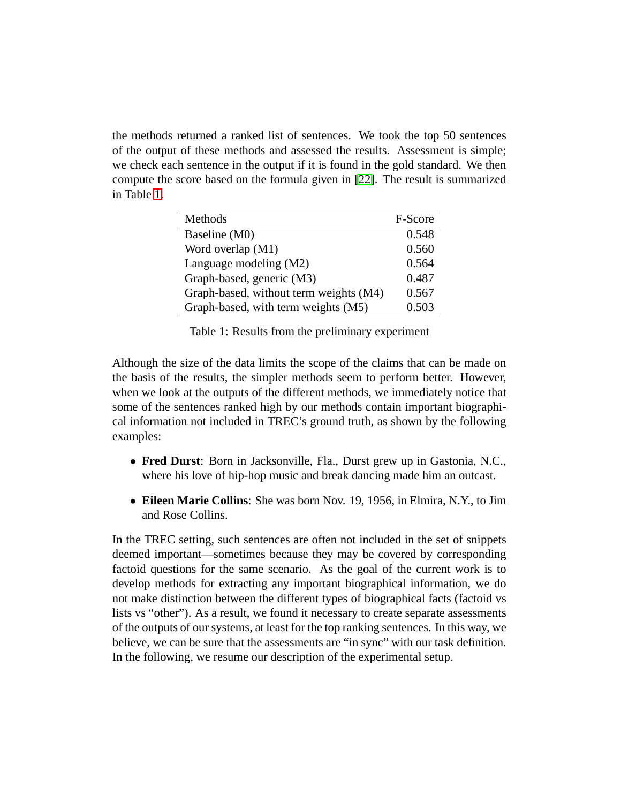the methods returned a ranked list of sentences. We took the top 50 sentences of the output of these methods and assessed the results. Assessment is simple; we check each sentence in the output if it is found in the gold standard. We then compute the score based on the formula given in [\[22\]](#page-19-3). The result is summarized in Table [1.](#page-9-0)

| Methods                                | F-Score |
|----------------------------------------|---------|
| Baseline (M0)                          | 0.548   |
| Word overlap (M1)                      | 0.560   |
| Language modeling (M2)                 | 0.564   |
| Graph-based, generic (M3)              | 0.487   |
| Graph-based, without term weights (M4) | 0.567   |
| Graph-based, with term weights (M5)    | 0.503   |

<span id="page-9-0"></span>Table 1: Results from the preliminary experiment

Although the size of the data limits the scope of the claims that can be made on the basis of the results, the simpler methods seem to perform better. However, when we look at the outputs of the different methods, we immediately notice that some of the sentences ranked high by our methods contain important biographical information not included in TREC's ground truth, as shown by the following examples:

- **Fred Durst**: Born in Jacksonville, Fla., Durst grew up in Gastonia, N.C., where his love of hip-hop music and break dancing made him an outcast.
- **Eileen Marie Collins**: She was born Nov. 19, 1956, in Elmira, N.Y., to Jim and Rose Collins.

In the TREC setting, such sentences are often not included in the set of snippets deemed important—sometimes because they may be covered by corresponding factoid questions for the same scenario. As the goal of the current work is to develop methods for extracting any important biographical information, we do not make distinction between the different types of biographical facts (factoid vs lists vs "other"). As a result, we found it necessary to create separate assessments of the outputs of our systems, at least for the top ranking sentences. In this way, we believe, we can be sure that the assessments are "in sync" with our task definition. In the following, we resume our description of the experimental setup.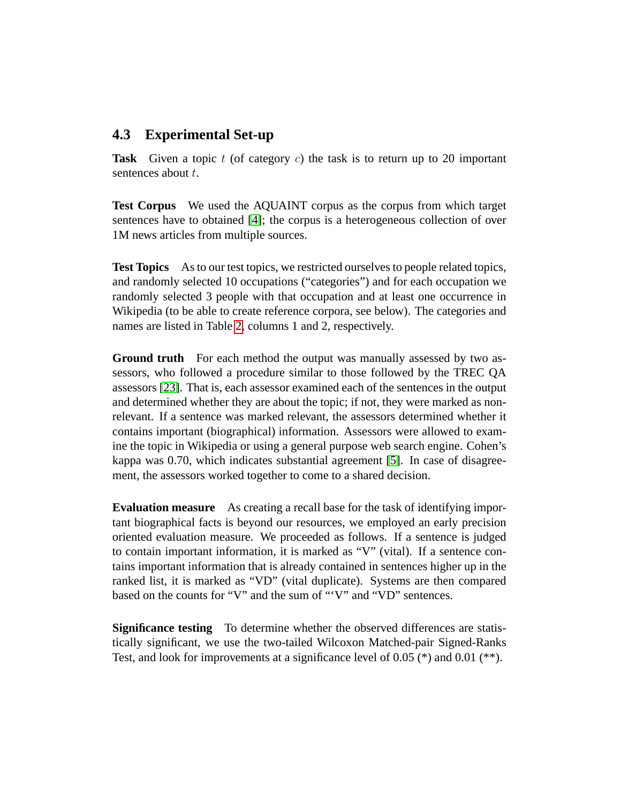### **4.3 Experimental Set-up**

**Task** Given a topic t (of category c) the task is to return up to 20 important sentences about t.

**Test Corpus** We used the AQUAINT corpus as the corpus from which target sentences have to obtained [\[4\]](#page-17-0); the corpus is a heterogeneous collection of over 1M news articles from multiple sources.

**Test Topics** As to our test topics, we restricted ourselves to people related topics, and randomly selected 10 occupations ("categories") and for each occupation we randomly selected 3 people with that occupation and at least one occurrence in Wikipedia (to be able to create reference corpora, see below). The categories and names are listed in Table [2,](#page-12-0) columns 1 and 2, respectively.

**Ground truth** For each method the output was manually assessed by two assessors, who followed a procedure similar to those followed by the TREC QA assessors [\[23\]](#page-19-4). That is, each assessor examined each of the sentences in the output and determined whether they are about the topic; if not, they were marked as nonrelevant. If a sentence was marked relevant, the assessors determined whether it contains important (biographical) information. Assessors were allowed to examine the topic in Wikipedia or using a general purpose web search engine. Cohen's kappa was 0.70, which indicates substantial agreement [\[5\]](#page-17-1). In case of disagreement, the assessors worked together to come to a shared decision.

**Evaluation measure** As creating a recall base for the task of identifying important biographical facts is beyond our resources, we employed an early precision oriented evaluation measure. We proceeded as follows. If a sentence is judged to contain important information, it is marked as "V" (vital). If a sentence contains important information that is already contained in sentences higher up in the ranked list, it is marked as "VD" (vital duplicate). Systems are then compared based on the counts for "V" and the sum of "'V" and "VD" sentences.

**Significance testing** To determine whether the observed differences are statistically significant, we use the two-tailed Wilcoxon Matched-pair Signed-Ranks Test, and look for improvements at a significance level of 0.05 (\*) and 0.01 (\*\*).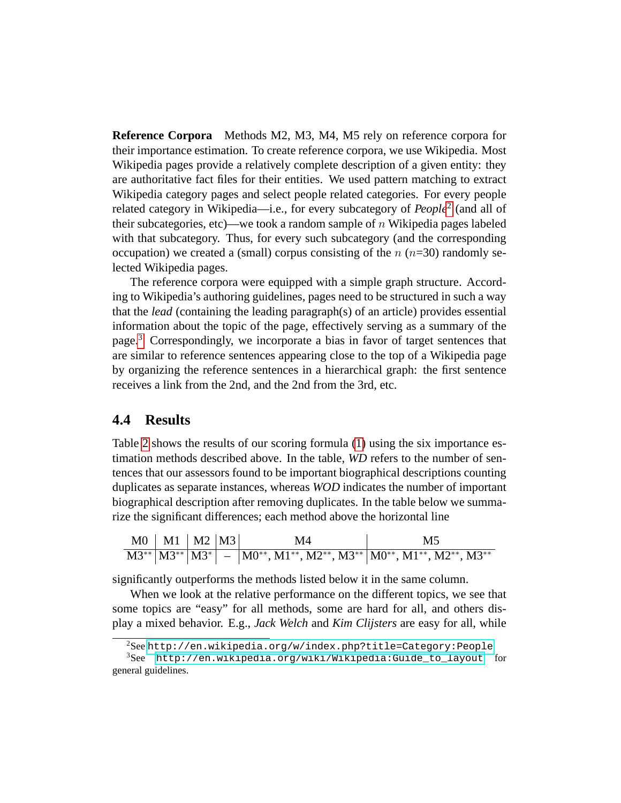<span id="page-11-0"></span>**Reference Corpora** Methods M2, M3, M4, M5 rely on reference corpora for their importance estimation. To create reference corpora, we use Wikipedia. Most Wikipedia pages provide a relatively complete description of a given entity: they are authoritative fact files for their entities. We used pattern matching to extract Wikipedia category pages and select people related categories. For every people related category in Wikipedia—i.e., for every subcategory of *People*[2](#page-11-1) (and all of their subcategories, etc)—we took a random sample of  $n$  Wikipedia pages labeled with that subcategory. Thus, for every such subcategory (and the corresponding occupation) we created a (small) corpus consisting of the  $n (n=30)$  randomly selected Wikipedia pages.

The reference corpora were equipped with a simple graph structure. According to Wikipedia's authoring guidelines, pages need to be structured in such a way that the *lead* (containing the leading paragraph(s) of an article) provides essential information about the topic of the page, effectively serving as a summary of the page.[3](#page-11-2) Correspondingly, we incorporate a bias in favor of target sentences that are similar to reference sentences appearing close to the top of a Wikipedia page by organizing the reference sentences in a hierarchical graph: the first sentence receives a link from the 2nd, and the 2nd from the 3rd, etc.

### **4.4 Results**

Table [2](#page-12-0) shows the results of our scoring formula [\(1\)](#page-3-2) using the six importance estimation methods described above. In the table, *WD* refers to the number of sentences that our assessors found to be important biographical descriptions counting duplicates as separate instances, whereas *WOD* indicates the number of important biographical description after removing duplicates. In the table below we summarize the significant differences; each method above the horizontal line

| $MO$   M1   M2   M3 |  | M4                                                                                                           | M5 |
|---------------------|--|--------------------------------------------------------------------------------------------------------------|----|
|                     |  | $M3^{**}$ $ M3^{**} $ $M3^{*} $ $  M0^{**}, M1^{**}, M2^{**}, M3^{**} $ $M0^{**}, M1^{**}, M2^{**}, M3^{**}$ |    |

significantly outperforms the methods listed below it in the same column.

When we look at the relative performance on the different topics, we see that some topics are "easy" for all methods, some are hard for all, and others display a mixed behavior. E.g., *Jack Welch* and *Kim Clijsters* are easy for all, while

<span id="page-11-2"></span><span id="page-11-1"></span><sup>2</sup>See <http://en.wikipedia.org/w/index.php?title=Category:People>

<sup>3</sup>See [http://en.wikipedia.org/wiki/Wikipedia:Guide\\_to\\_layout](http://en.wikipedia.org/wiki/Wikipedia:Guide_to_layout) for general guidelines.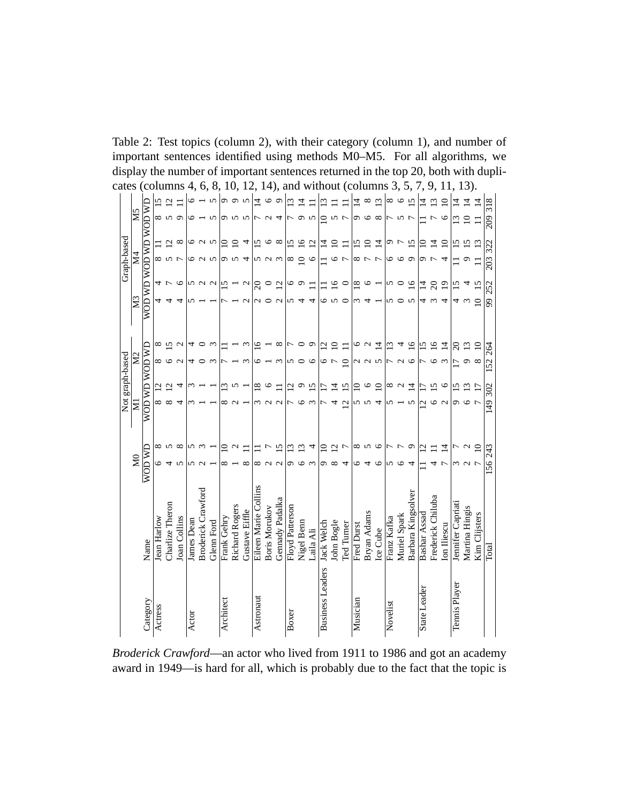| cates           |                 | <b>CO</b>             |                |                          | mns               | 4,         | 6,                 | 8,         |                | 10,            | 1                      | 2,                   | $(14)$ ,             |                   | and             |                 |                 |                         |                |                 |                |                    | without (columns    | 3,          |                   | 5,                 | 7,             | 9,                | <sup>11</sup>   |                   | 13).                  |                 |            |
|-----------------|-----------------|-----------------------|----------------|--------------------------|-------------------|------------|--------------------|------------|----------------|----------------|------------------------|----------------------|----------------------|-------------------|-----------------|-----------------|-----------------|-------------------------|----------------|-----------------|----------------|--------------------|---------------------|-------------|-------------------|--------------------|----------------|-------------------|-----------------|-------------------|-----------------------|-----------------|------------|
|                 |                 |                       |                | $\overline{\mathcal{C}}$ |                   |            |                    |            | െ              | ഗ              | 5                      | $\overline{4}$       | ৩                    | σ                 |                 | 브               |                 | ≌                       |                |                 | 4              | ${}^{\circ}$       | $\overline{\omega}$ | ∞           | ७                 | $\overline{5}$     | 4              | ≌                 |                 | 4                 | ᅺ                     | ᅺ               | 318        |
|                 | XI <sub>5</sub> | WOD WD WOD WD WOD WD  | ∞              | $\sim$                   | $\circ$           | ∘          |                    | 5          | Ó              | S              | 5                      |                      |                      | 4                 |                 | G               | 5               | $\supseteq$             | 5              | $\overline{ }$  | G              | $\circ$            | $\infty$            |             | 5                 | $\overline{r}$     |                | ŗ                 | $\circ$         | $\mathfrak{L}$    | $\supseteq$           |                 | 209        |
|                 |                 |                       |                | $\overline{C}$           | $\infty$          | 0          | $\sim$ $\sim$      |            | $\subseteq$    | $\supseteq$    | 4                      | $\overline{5}$       | $\circ$              | $\infty$          | <u>ی</u>        | $\overline{16}$ | $\overline{12}$ | $\vec{A}$               | $\Xi$          | Ξ               | 15             | $\overline{10}$    | $\overline{4}$      | Ó           | $\overline{ }$    | $\overline{15}$    | $\Xi$          | $\overline{4}$    | $\overline{10}$ | $\frac{5}{1}$     | $\overline{15}$       | $\mathfrak{L}$  | 322        |
| Graph-based     | Σ4              |                       | ${}^{\circ}$   | S                        | F                 | 0          | $\sim$             | S          | ᡡ              | n              | 4                      | n                    | $\sim$               | $\epsilon$        | ∞               | $\Omega$        | $\circ$         |                         | $\circ$        | 7               | $^{\circ}$     |                    | 7                   | 0           | $\bullet$         | $\circ$            | ᢒ              |                   | 4               |                   | C                     |                 | 203        |
|                 |                 |                       | 4              |                          | $\circ$           |            | n u u              |            | ≌              |                | $\mathbf{\mathcal{L}}$ | $\Omega$             | $\circ$              | $\overline{c}$    | $\circ$         | $\sim$          | $\Box$          |                         | $\frac{9}{1}$  | $\circ$         | $\frac{8}{18}$ | ७                  |                     | 5           | $\circ$           | $\frac{8}{1}$      | $\vec{1}$      | $\Omega$          | $\overline{0}$  | 15                | 4                     | $\overline{15}$ |            |
|                 | M <sub>3</sub>  |                       |                |                          | 4                 |            |                    |            |                |                | 2                      | $\mathbf 2$          | c                    | $\mathbf{\Omega}$ | 5               |                 | 4               | 0                       | S              | ∊               | ω              |                    |                     | 5           | $\circ$           | $\sim$             | 4              | $\epsilon$        | 4               | 4                 |                       | $\overline{10}$ | 252<br>99  |
|                 |                 |                       |                |                          |                   |            |                    |            |                |                |                        |                      |                      |                   |                 |                 |                 |                         |                |                 |                |                    |                     |             |                   |                    |                |                   |                 |                   |                       |                 |            |
|                 |                 |                       | ∞              | $\overline{5}$           | $\mathbf{\Omega}$ | 4          | ○                  | $\omega$   |                |                |                        | ≌                    |                      | $\infty$          |                 | $\circ$         | O               | $\overline{c}$          | $\Xi$          |                 | $\circ$        | $\mathbf{\Omega}$  | $\overline{4}$      | $\Xi$       | 4                 | $\frac{8}{1}$      | 51             | $\overline{16}$   | $\overline{4}$  | $\Omega$          | $\Xi$                 | $\Xi$           |            |
|                 | 22              |                       | ∞              | $\circ$                  | $\mathbf{\Omega}$ | 4          | $\circ$            | $\epsilon$ |                |                | $\omega$               | ७                    |                      | $\epsilon$        | 5               | $\circ$         | $\circ$         | $\circ$                 | $\overline{r}$ | $\Omega$        |                | 225                |                     |             | $\mathcal{L}$     | $\circ$            | 7              | $\circ$           | $\epsilon$      | 17                | $\sigma$              | $\infty$        | 264<br>152 |
| Not graph-based |                 | <b>AM JOM JAM JOM</b> | $\overline{C}$ | $\overline{c}$           | 4                 |            |                    |            | $\bar{\omega}$ | S              |                        | $\overline{18}$      | ७                    | □                 | $\bar{\omega}$  | $\circ$         | $\overline{5}$  | 2                       | $\vec{a}$      | $\overline{15}$ | $\Xi$          | $\circ$            | $\Omega$            | ∞           | $\mathbf{\Omega}$ | $\overline{4}$     | □              | 5                 | $\circ$         | 51                | $\bar{\omega}$        | 17              |            |
|                 | ≅               |                       | ∞              | ${}^{\circ}$             | 4                 |            |                    |            | ∞              |                |                        | ω                    |                      | $\mathbf 2$       |                 | 6               | $\epsilon$      |                         | 4              | $\mathbf{C}$    | 5              | 5                  | 4                   | 5           |                   | 5                  | ų              | $\circ$           | $\mathbf{\sim}$ | Ó                 | $\circ$               | $\mathbf{r}$    | 302<br>149 |
|                 |                 |                       |                |                          |                   |            |                    |            |                |                |                        |                      |                      |                   |                 |                 |                 |                         |                |                 |                |                    |                     |             |                   |                    |                |                   |                 |                   |                       |                 |            |
|                 |                 |                       | ∞              | 5                        | $\infty$          | 5          | $\epsilon$         |            | $\Xi$          |                |                        |                      |                      | <u>ی</u>          | ≌               | $\overline{c}$  | 4               | $\Xi$                   | $\overline{c}$ | Γ               | ∞              | S                  | $\circ$             |             |                   | ç                  | $\overline{c}$ |                   | $\overline{4}$  |                   |                       | $\Xi$           |            |
|                 | $\mathsf{M}^0$  | <b>AN OD</b>          |                | 4                        | 5                 | 5          |                    |            | $^{\circ}$     |                | $\infty$               | ∞                    | $\mathbf{\Omega}$    | $\mathcal{L}$     | Ö               | ७               | $\epsilon$      | Ó                       | $\infty$       | 4               | 6              | 4                  | ৩                   | 5           | $\circ$           | 4                  |                | 4                 | 7               |                   | 3<br>2<br>2<br>2<br>3 |                 | 243<br>156 |
|                 |                 |                       |                |                          |                   |            |                    |            |                |                |                        |                      |                      |                   |                 |                 |                 |                         |                |                 |                |                    |                     |             |                   |                    |                |                   |                 |                   |                       |                 |            |
|                 |                 |                       |                |                          |                   |            |                    |            |                |                |                        | Eileen Marie Collins |                      |                   |                 |                 |                 |                         |                |                 |                |                    |                     |             |                   |                    |                |                   |                 |                   |                       |                 |            |
|                 |                 |                       |                | Charlize Theron          |                   |            | Broderick Crawford |            |                | Richard Rogers |                        |                      | <b>Boris Morukov</b> | Gennady Padalka   | Floyd Patterson |                 |                 |                         |                |                 |                |                    |                     |             |                   | Barbara Kingsolver |                | Frederick Chiluba |                 | Jennifer Capriati | Martina Hingis        |                 |            |
|                 |                 |                       | Jean Harlow    |                          | Joan Collins      | James Dean |                    | Glenn Ford | Frank Gehry    |                | Gustave Eiffle         |                      |                      |                   |                 | Nigel Benn      | Laila Ali       | <b>Jack Welch</b>       | John Bogle     | Ted Turner      | Fred Durst     | <b>Bryan Adams</b> | Ice Cube            | Franz Kafka | Muriel Spark      |                    | Bashar Assad   |                   | lon Iliescu     |                   |                       | Kim Clijsters   |            |
|                 |                 | Name                  |                |                          |                   |            |                    |            |                |                |                        |                      |                      |                   |                 |                 |                 |                         |                |                 |                |                    |                     |             |                   |                    |                |                   |                 |                   |                       |                 | Total      |
|                 |                 |                       |                |                          |                   |            |                    |            |                |                |                        |                      |                      |                   |                 |                 |                 |                         |                |                 |                |                    |                     |             |                   |                    |                |                   |                 |                   |                       |                 |            |
|                 |                 |                       |                |                          |                   |            |                    |            |                |                |                        |                      |                      |                   |                 |                 |                 |                         |                |                 |                |                    |                     |             |                   |                    |                |                   |                 |                   |                       |                 |            |
|                 |                 | Category              | Actress        |                          |                   | Actor      |                    |            | Architect      |                |                        | Astronaut            |                      |                   | Boxer           |                 |                 | <b>Business Leaders</b> |                |                 | Musician       |                    |                     | Novelist    |                   |                    | State Leader   |                   |                 | Tennis Player     |                       |                 |            |
|                 |                 |                       |                |                          |                   |            |                    |            |                |                |                        |                      |                      |                   |                 |                 |                 |                         |                |                 |                |                    |                     |             |                   |                    |                |                   |                 |                   |                       |                 |            |

<span id="page-12-0"></span>Table 2: Test topics (column 2), with their category (column 1), and number of important sentences identified using methods M0–M5. For all algorithms, we display the number of important sentences returned in the top 20, both with dupli-

*Broderick Crawford*—an actor who lived from 1911 to 1986 and got an academy award in 1949—is hard for all, which is probably due to the fact that the topic is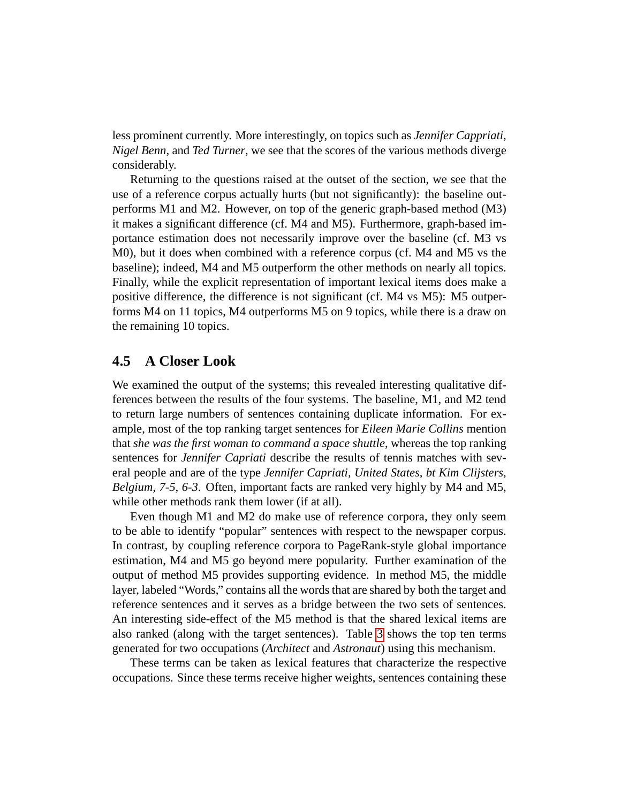less prominent currently. More interestingly, on topics such as *Jennifer Cappriati*, *Nigel Benn*, and *Ted Turner*, we see that the scores of the various methods diverge considerably.

Returning to the questions raised at the outset of the section, we see that the use of a reference corpus actually hurts (but not significantly): the baseline outperforms M1 and M2. However, on top of the generic graph-based method (M3) it makes a significant difference (cf. M4 and M5). Furthermore, graph-based importance estimation does not necessarily improve over the baseline (cf. M3 vs M0), but it does when combined with a reference corpus (cf. M4 and M5 vs the baseline); indeed, M4 and M5 outperform the other methods on nearly all topics. Finally, while the explicit representation of important lexical items does make a positive difference, the difference is not significant (cf. M4 vs M5): M5 outperforms M4 on 11 topics, M4 outperforms M5 on 9 topics, while there is a draw on the remaining 10 topics.

#### **4.5 A Closer Look**

We examined the output of the systems; this revealed interesting qualitative differences between the results of the four systems. The baseline, M1, and M2 tend to return large numbers of sentences containing duplicate information. For example, most of the top ranking target sentences for *Eileen Marie Collins* mention that *she was the first woman to command a space shuttle*, whereas the top ranking sentences for *Jennifer Capriati* describe the results of tennis matches with several people and are of the type *Jennifer Capriati, United States, bt Kim Clijsters, Belgium, 7-5, 6-3*. Often, important facts are ranked very highly by M4 and M5, while other methods rank them lower (if at all).

Even though M1 and M2 do make use of reference corpora, they only seem to be able to identify "popular" sentences with respect to the newspaper corpus. In contrast, by coupling reference corpora to PageRank-style global importance estimation, M4 and M5 go beyond mere popularity. Further examination of the output of method M5 provides supporting evidence. In method M5, the middle layer, labeled "Words," contains all the words that are shared by both the target and reference sentences and it serves as a bridge between the two sets of sentences. An interesting side-effect of the M5 method is that the shared lexical items are also ranked (along with the target sentences). Table [3](#page-14-0) shows the top ten terms generated for two occupations (*Architect* and *Astronaut*) using this mechanism.

These terms can be taken as lexical features that characterize the respective occupations. Since these terms receive higher weights, sentences containing these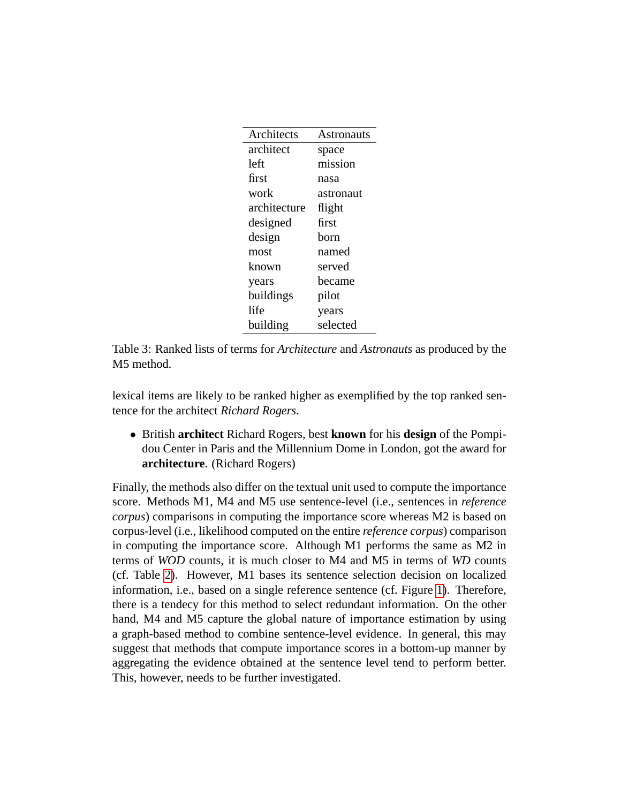| Architects   | Astronauts |
|--------------|------------|
| architect    | space      |
| left         | mission    |
| first        | nasa       |
| work         | astronaut  |
| architecture | flight     |
| designed     | first      |
| design       | born       |
| most         | named      |
| known        | served     |
| years        | became     |
| buildings    | pilot      |
| life         | years      |
| building     | selected   |

<span id="page-14-0"></span>Table 3: Ranked lists of terms for *Architecture* and *Astronauts* as produced by the M5 method.

lexical items are likely to be ranked higher as exemplified by the top ranked sentence for the architect *Richard Rogers*.

• British **architect** Richard Rogers, best **known** for his **design** of the Pompidou Center in Paris and the Millennium Dome in London, got the award for **architecture**. (Richard Rogers)

Finally, the methods also differ on the textual unit used to compute the importance score. Methods M1, M4 and M5 use sentence-level (i.e., sentences in *reference corpus*) comparisons in computing the importance score whereas M2 is based on corpus-level (i.e., likelihood computed on the entire *reference corpus*) comparison in computing the importance score. Although M1 performs the same as M2 in terms of *WOD* counts, it is much closer to M4 and M5 in terms of *WD* counts (cf. Table [2\)](#page-12-0). However, M1 bases its sentence selection decision on localized information, i.e., based on a single reference sentence (cf. Figure [1\)](#page-4-1). Therefore, there is a tendecy for this method to select redundant information. On the other hand, M4 and M5 capture the global nature of importance estimation by using a graph-based method to combine sentence-level evidence. In general, this may suggest that methods that compute importance scores in a bottom-up manner by aggregating the evidence obtained at the sentence level tend to perform better. This, however, needs to be further investigated.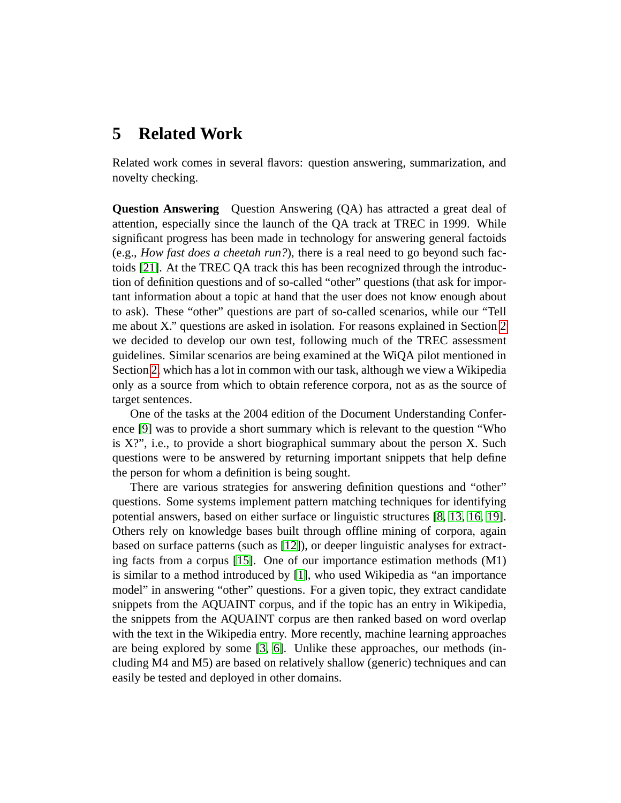# <span id="page-15-0"></span>**5 Related Work**

Related work comes in several flavors: question answering, summarization, and novelty checking.

**Question Answering** Question Answering (QA) has attracted a great deal of attention, especially since the launch of the QA track at TREC in 1999. While significant progress has been made in technology for answering general factoids (e.g., *How fast does a cheetah run?*), there is a real need to go beyond such factoids [\[21\]](#page-19-5). At the TREC QA track this has been recognized through the introduction of definition questions and of so-called "other" questions (that ask for important information about a topic at hand that the user does not know enough about to ask). These "other" questions are part of so-called scenarios, while our "Tell me about X." questions are asked in isolation. For reasons explained in Section [2](#page-1-0) we decided to develop our own test, following much of the TREC assessment guidelines. Similar scenarios are being examined at the WiQA pilot mentioned in Section [2,](#page-1-0) which has a lot in common with our task, although we view a Wikipedia only as a source from which to obtain reference corpora, not as as the source of target sentences.

One of the tasks at the 2004 edition of the Document Understanding Conference [\[9\]](#page-18-4) was to provide a short summary which is relevant to the question "Who is X?", i.e., to provide a short biographical summary about the person X. Such questions were to be answered by returning important snippets that help define the person for whom a definition is being sought.

There are various strategies for answering definition questions and "other" questions. Some systems implement pattern matching techniques for identifying potential answers, based on either surface or linguistic structures [\[8,](#page-18-5) [13,](#page-18-6) [16,](#page-18-7) [19\]](#page-19-6). Others rely on knowledge bases built through offline mining of corpora, again based on surface patterns (such as [\[12\]](#page-18-8)), or deeper linguistic analyses for extracting facts from a corpus [\[15\]](#page-18-9). One of our importance estimation methods (M1) is similar to a method introduced by [\[1\]](#page-17-2), who used Wikipedia as "an importance model" in answering "other" questions. For a given topic, they extract candidate snippets from the AQUAINT corpus, and if the topic has an entry in Wikipedia, the snippets from the AQUAINT corpus are then ranked based on word overlap with the text in the Wikipedia entry. More recently, machine learning approaches are being explored by some [\[3,](#page-17-3) [6\]](#page-18-10). Unlike these approaches, our methods (including M4 and M5) are based on relatively shallow (generic) techniques and can easily be tested and deployed in other domains.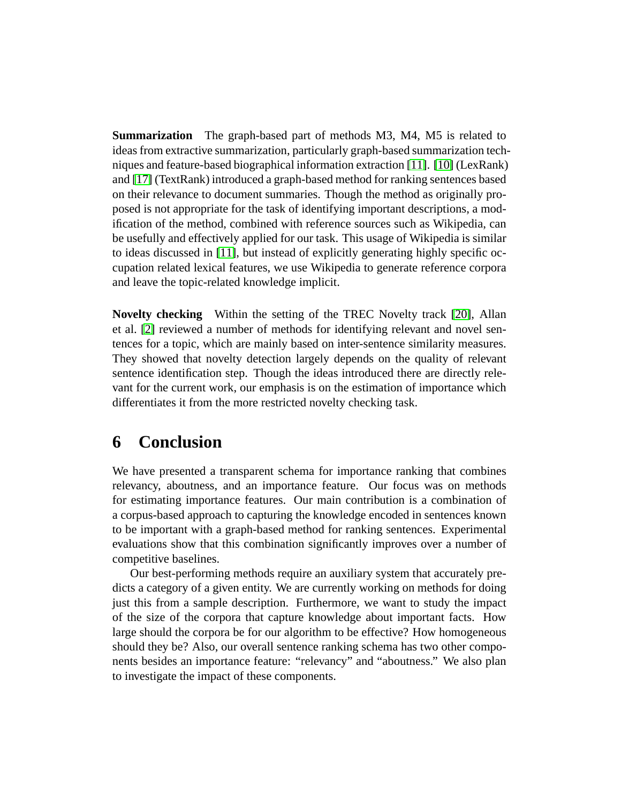**Summarization** The graph-based part of methods M3, M4, M5 is related to ideas from extractive summarization, particularly graph-based summarization techniques and feature-based biographical information extraction [\[11\]](#page-18-1). [\[10\]](#page-18-2) (LexRank) and [\[17\]](#page-19-2) (TextRank) introduced a graph-based method for ranking sentences based on their relevance to document summaries. Though the method as originally proposed is not appropriate for the task of identifying important descriptions, a modification of the method, combined with reference sources such as Wikipedia, can be usefully and effectively applied for our task. This usage of Wikipedia is similar to ideas discussed in [\[11\]](#page-18-1), but instead of explicitly generating highly specific occupation related lexical features, we use Wikipedia to generate reference corpora and leave the topic-related knowledge implicit.

**Novelty checking** Within the setting of the TREC Novelty track [\[20\]](#page-19-7), Allan et al. [\[2\]](#page-17-4) reviewed a number of methods for identifying relevant and novel sentences for a topic, which are mainly based on inter-sentence similarity measures. They showed that novelty detection largely depends on the quality of relevant sentence identification step. Though the ideas introduced there are directly relevant for the current work, our emphasis is on the estimation of importance which differentiates it from the more restricted novelty checking task.

## <span id="page-16-0"></span>**6 Conclusion**

We have presented a transparent schema for importance ranking that combines relevancy, aboutness, and an importance feature. Our focus was on methods for estimating importance features. Our main contribution is a combination of a corpus-based approach to capturing the knowledge encoded in sentences known to be important with a graph-based method for ranking sentences. Experimental evaluations show that this combination significantly improves over a number of competitive baselines.

Our best-performing methods require an auxiliary system that accurately predicts a category of a given entity. We are currently working on methods for doing just this from a sample description. Furthermore, we want to study the impact of the size of the corpora that capture knowledge about important facts. How large should the corpora be for our algorithm to be effective? How homogeneous should they be? Also, our overall sentence ranking schema has two other components besides an importance feature: "relevancy" and "aboutness." We also plan to investigate the impact of these components.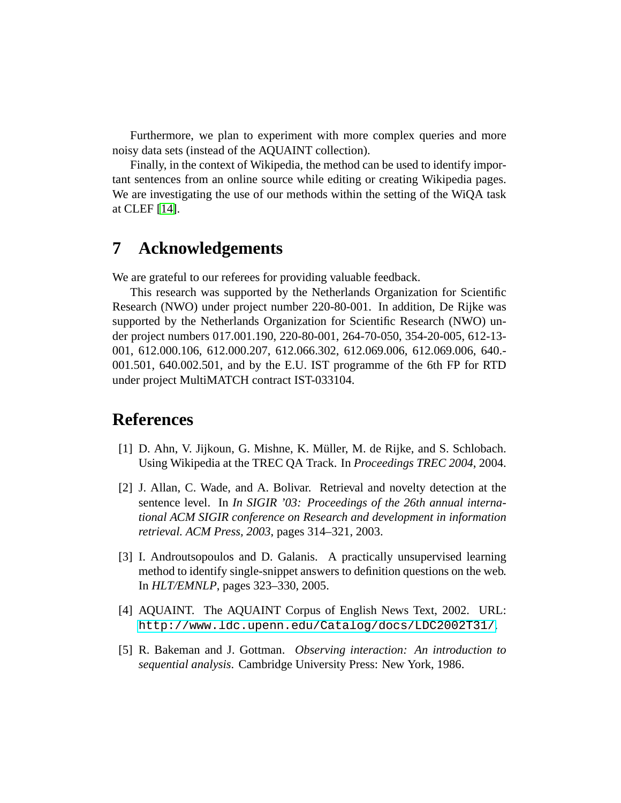Furthermore, we plan to experiment with more complex queries and more noisy data sets (instead of the AQUAINT collection).

Finally, in the context of Wikipedia, the method can be used to identify important sentences from an online source while editing or creating Wikipedia pages. We are investigating the use of our methods within the setting of the WiQA task at CLEF [\[14\]](#page-18-0).

# **7 Acknowledgements**

We are grateful to our referees for providing valuable feedback.

This research was supported by the Netherlands Organization for Scientific Research (NWO) under project number 220-80-001. In addition, De Rijke was supported by the Netherlands Organization for Scientific Research (NWO) under project numbers 017.001.190, 220-80-001, 264-70-050, 354-20-005, 612-13- 001, 612.000.106, 612.000.207, 612.066.302, 612.069.006, 612.069.006, 640.- 001.501, 640.002.501, and by the E.U. IST programme of the 6th FP for RTD under project MultiMATCH contract IST-033104.

# **References**

- <span id="page-17-2"></span>[1] D. Ahn, V. Jijkoun, G. Mishne, K. Muller, M. de Rijke, and S. Schlobach. ¨ Using Wikipedia at the TREC QA Track. In *Proceedings TREC 2004*, 2004.
- <span id="page-17-4"></span>[2] J. Allan, C. Wade, and A. Bolivar. Retrieval and novelty detection at the sentence level. In *In SIGIR '03: Proceedings of the 26th annual international ACM SIGIR conference on Research and development in information retrieval. ACM Press, 2003*, pages 314–321, 2003.
- <span id="page-17-3"></span>[3] I. Androutsopoulos and D. Galanis. A practically unsupervised learning method to identify single-snippet answers to definition questions on the web. In *HLT/EMNLP*, pages 323–330, 2005.
- <span id="page-17-0"></span>[4] AQUAINT. The AQUAINT Corpus of English News Text, 2002. URL: <http://www.ldc.upenn.edu/Catalog/docs/LDC2002T31/>.
- <span id="page-17-1"></span>[5] R. Bakeman and J. Gottman. *Observing interaction: An introduction to sequential analysis*. Cambridge University Press: New York, 1986.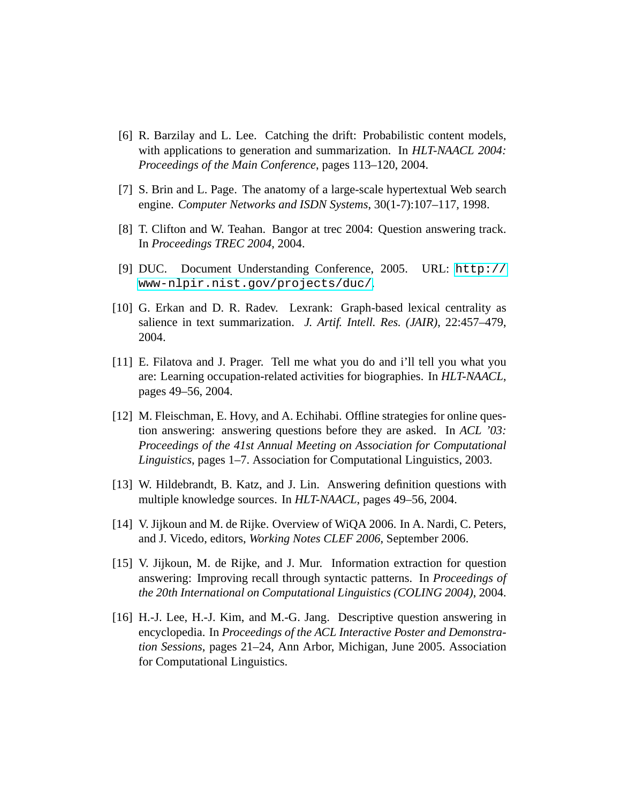- <span id="page-18-10"></span>[6] R. Barzilay and L. Lee. Catching the drift: Probabilistic content models, with applications to generation and summarization. In *HLT-NAACL 2004: Proceedings of the Main Conference*, pages 113–120, 2004.
- <span id="page-18-3"></span>[7] S. Brin and L. Page. The anatomy of a large-scale hypertextual Web search engine. *Computer Networks and ISDN Systems*, 30(1-7):107–117, 1998.
- <span id="page-18-5"></span>[8] T. Clifton and W. Teahan. Bangor at trec 2004: Question answering track. In *Proceedings TREC 2004*, 2004.
- <span id="page-18-4"></span>[9] DUC. Document Understanding Conference, 2005. URL: [http://](http://www-nlpir.nist.gov/projects/duc/) [www-nlpir.nist.gov/projects/duc/](http://www-nlpir.nist.gov/projects/duc/).
- <span id="page-18-2"></span>[10] G. Erkan and D. R. Radev. Lexrank: Graph-based lexical centrality as salience in text summarization. *J. Artif. Intell. Res. (JAIR)*, 22:457–479, 2004.
- <span id="page-18-1"></span>[11] E. Filatova and J. Prager. Tell me what you do and i'll tell you what you are: Learning occupation-related activities for biographies. In *HLT-NAACL*, pages 49–56, 2004.
- <span id="page-18-8"></span>[12] M. Fleischman, E. Hovy, and A. Echihabi. Offline strategies for online question answering: answering questions before they are asked. In *ACL '03: Proceedings of the 41st Annual Meeting on Association for Computational Linguistics*, pages 1–7. Association for Computational Linguistics, 2003.
- <span id="page-18-6"></span>[13] W. Hildebrandt, B. Katz, and J. Lin. Answering definition questions with multiple knowledge sources. In *HLT-NAACL*, pages 49–56, 2004.
- <span id="page-18-0"></span>[14] V. Jijkoun and M. de Rijke. Overview of WiQA 2006. In A. Nardi, C. Peters, and J. Vicedo, editors, *Working Notes CLEF 2006*, September 2006.
- <span id="page-18-9"></span>[15] V. Jijkoun, M. de Rijke, and J. Mur. Information extraction for question answering: Improving recall through syntactic patterns. In *Proceedings of the 20th International on Computational Linguistics (COLING 2004)*, 2004.
- <span id="page-18-7"></span>[16] H.-J. Lee, H.-J. Kim, and M.-G. Jang. Descriptive question answering in encyclopedia. In *Proceedings of the ACL Interactive Poster and Demonstration Sessions*, pages 21–24, Ann Arbor, Michigan, June 2005. Association for Computational Linguistics.